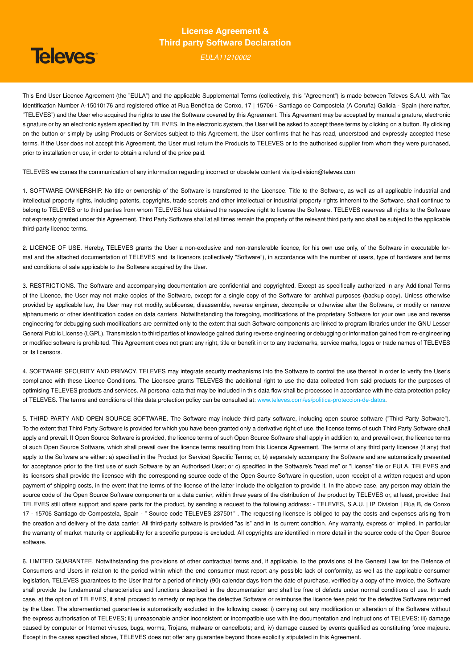# **Televes**

### **License Agreement & Third party Software Declaration**

*EULA11210002*

This End User Licence Agreement (the "EULA") and the applicable Supplemental Terms (collectively, this "Agreement") is made between Televes S.A.U. with Tax Identification Number A-15010176 and registered office at Rua Benéfica de Conxo, 17 | 15706 - Santiago de Compostela (A Coruña) Galicia - Spain (hereinafter, "TELEVES") and the User who acquired the rights to use the Software covered by this Agreement. This Agreement may be accepted by manual signature, electronic signature or by an electronic system specified by TELEVES. In the electronic system, the User will be asked to accept these terms by clicking on a button. By clicking on the button or simply by using Products or Services subject to this Agreement, the User confirms that he has read, understood and expressly accepted these terms. If the User does not accept this Agreement, the User must return the Products to TELEVES or to the authorised supplier from whom they were purchased, prior to installation or use, in order to obtain a refund of the price paid.

TELEVES welcomes the communication of any information regarding incorrect or obsolete content via [ip-division@televes.com](mailto:ip-division@televes.com)

1. SOFTWARE OWNERSHIP. No title or ownership of the Software is transferred to the Licensee. Title to the Software, as well as all applicable industrial and intellectual property rights, including patents, copyrights, trade secrets and other intellectual or industrial property rights inherent to the Software, shall continue to belong to TELEVES or to third parties from whom TELEVES has obtained the respective right to license the Software. TELEVES reserves all rights to the Software not expressly granted under this Agreement. Third Party Software shall at all times remain the property of the relevant third party and shall be subject to the applicable third-party licence terms.

2. LICENCE OF USE. Hereby, TELEVES grants the User a non-exclusive and non-transferable licence, for his own use only, of the Software in executable format and the attached documentation of TELEVES and its licensors (collectively "Software"), in accordance with the number of users, type of hardware and terms and conditions of sale applicable to the Software acquired by the User.

3. RESTRICTIONS. The Software and accompanying documentation are confidential and copyrighted. Except as specifically authorized in any Additional Terms of the Licence, the User may not make copies of the Software, except for a single copy of the Software for archival purposes (backup copy). Unless otherwise provided by applicable law, the User may not modify, sublicense, disassemble, reverse engineer, decompile or otherwise alter the Software, or modify or remove alphanumeric or other identification codes on data carriers. Notwithstanding the foregoing, modifications of the proprietary Software for your own use and reverse engineering for debugging such modifications are permitted only to the extent that such Software components are linked to program libraries under the GNU Lesser General Public License (LGPL). Transmission to third parties of knowledge gained during reverse engineering or debugging or information gained from re-engineering or modified software is prohibited. This Agreement does not grant any right, title or benefit in or to any trademarks, service marks, logos or trade names of TELEVES or its licensors.

4. SOFTWARE SECURITY AND PRIVACY. TELEVES may integrate security mechanisms into the Software to control the use thereof in order to verify the User's compliance with these Licence Conditions. The Licensee grants TELEVES the additional right to use the data collected from said products for the purposes of optimising TELEVES products and services. All personal data that may be included in this data flow shall be processed in accordance with the data protection policy of TELEVES. The terms and conditions of this data protection policy can be consulted at: www.televes.com/es/politica-proteccion-de-datos.

5. THIRD PARTY AND OPEN SOURCE SOFTWARE. The Software may include third party software, including open source software ("Third Party Software"). To the extent that Third Party Software is provided for which you have been granted only a derivative right of use, the license terms of such Third Party Software shall apply and prevail. If Open Source Software is provided, the licence terms of such Open Source Software shall apply in addition to, and prevail over, the licence terms of such Open Source Software, which shall prevail over the licence terms resulting from this Licence Agreement. The terms of any third party licences (if any) that apply to the Software are either: a) specified in the Product (or Service) Specific Terms; or, b) separately accompany the Software and are automatically presented for acceptance prior to the first use of such Software by an Authorised User; or c) specified in the Software's "read me" or "License" file or EULA. TELEVES and its licensors shall provide the licensee with the corresponding source code of the Open Source Software in question, upon receipt of a written request and upon payment of shipping costs, in the event that the terms of the license of the latter include the obligation to provide it. In the above case, any person may obtain the source code of the Open Source Software components on a data carrier, within three years of the distribution of the product by TELEVES or, at least, provided that TELEVES still offers support and spare parts for the product, by sending a request to the following address: - TELEVES, S.A.U. | IP Division | Rúa B, de Conxo 17 - 15706 Santiago de Compostela, Spain - " Source code TELEVES 237501" . The requesting licensee is obliged to pay the costs and expenses arising from the creation and delivery of the data carrier. All third-party software is provided "as is" and in its current condition. Any warranty, express or implied, in particular the warranty of market maturity or applicability for a specific purpose is excluded. All copyrights are identified in more detail in the source code of the Open Source software.

6. LIMITED GUARANTEE. Notwithstanding the provisions of other contractual terms and, if applicable, to the provisions of the General Law for the Defence of Consumers and Users in relation to the period within which the end consumer must report any possible lack of conformity, as well as the applicable consumer legislation, TELEVES quarantees to the User that for a period of ninety (90) calendar days from the date of purchase, verified by a copy of the invoice, the Software shall provide the fundamental characteristics and functions described in the documentation and shall be free of defects under normal conditions of use. In such case, at the option of TELEVES, it shall proceed to remedy or replace the defective Software or reimburse the licence fees paid for the defective Software returned by the User. The aforementioned guarantee is automatically excluded in the following cases: i) carrying out any modification or alteration of the Software without the express authorisation of TELEVES; ii) unreasonable and/or inconsistent or incompatible use with the documentation and instructions of TELEVES; iii) damage caused by computer or Internet viruses, bugs, worms, Trojans, malware or cancelbots; and, iv) damage caused by events qualified as constituting force majeure. Except in the cases specified above, TELEVES does not offer any guarantee beyond those explicitly stipulated in this Agreement.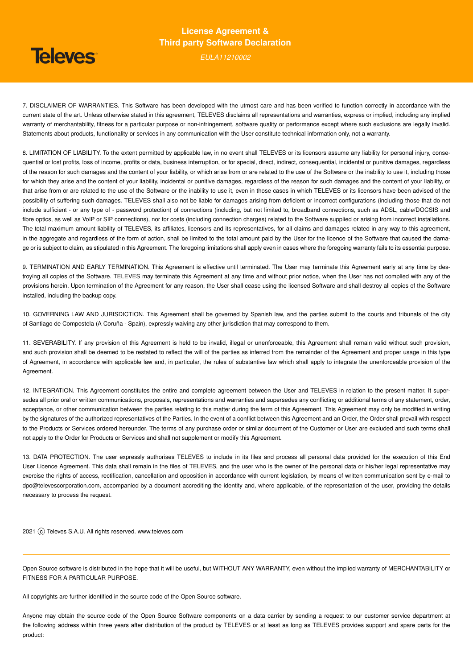## **Televes**

### **License Agreement & Third party Software Declaration**

*EULA11210002*

7. DISCLAIMER OF WARRANTIES. This Software has been developed with the utmost care and has been verified to function correctly in accordance with the current state of the art. Unless otherwise stated in this agreement, TELEVES disclaims all representations and warranties, express or implied, including any implied warranty of merchantability, fitness for a particular purpose or non-infringement, software quality or performance except where such exclusions are legally invalid. Statements about products, functionality or services in any communication with the User constitute technical information only, not a warranty.

8. LIMITATION OF LIABILITY. To the extent permitted by applicable law, in no event shall TELEVES or its licensors assume any liability for personal injury, consequential or lost profits, loss of income, profits or data, business interruption, or for special, direct, indirect, consequential, incidental or punitive damages, regardless of the reason for such damages and the content of your liability, or which arise from or are related to the use of the Software or the inability to use it, including those for which they arise and the content of your liability, incidental or punitive damages, regardless of the reason for such damages and the content of your liability, or that arise from or are related to the use of the Software or the inability to use it, even in those cases in which TELEVES or its licensors have been advised of the possibility of suffering such damages. TELEVES shall also not be liable for damages arising from deficient or incorrect configurations (including those that do not include sufficient - or any type of - password protection) of connections (including, but not limited to, broadband connections, such as ADSL, cable/DOCSIS and fibre optics, as well as VoIP or SIP connections), nor for costs (including connection charges) related to the Software supplied or arising from incorrect installations. The total maximum amount liability of TELEVES, its affiliates, licensors and its representatives, for all claims and damages related in any way to this agreement, in the aggregate and regardless of the form of action, shall be limited to the total amount paid by the User for the licence of the Software that caused the damage or is subject to claim, as stipulated in this Agreement. The foregoing limitations shall apply even in cases where the foregoing warranty fails to its essential purpose.

9. TERMINATION AND EARLY TERMINATION. This Agreement is effective until terminated. The User may terminate this Agreement early at any time by destroying all copies of the Software. TELEVES may terminate this Agreement at any time and without prior notice, when the User has not complied with any of the provisions herein. Upon termination of the Agreement for any reason, the User shall cease using the licensed Software and shall destroy all copies of the Software installed, including the backup copy.

10. GOVERNING LAW AND JURISDICTION. This Agreement shall be governed by Spanish law, and the parties submit to the courts and tribunals of the city of Santiago de Compostela (A Coruña - Spain), expressly waiving any other jurisdiction that may correspond to them.

11. SEVERABILITY. If any provision of this Agreement is held to be invalid, illegal or unenforceable, this Agreement shall remain valid without such provision, and such provision shall be deemed to be restated to reflect the will of the parties as inferred from the remainder of the Agreement and proper usage in this type of Agreement, in accordance with applicable law and, in particular, the rules of substantive law which shall apply to integrate the unenforceable provision of the Agreement.

12. INTEGRATION. This Agreement constitutes the entire and complete agreement between the User and TELEVES in relation to the present matter. It supersedes all prior oral or written communications, proposals, representations and warranties and supersedes any conflicting or additional terms of any statement, order, acceptance, or other communication between the parties relating to this matter during the term of this Agreement. This Agreement may only be modified in writing by the signatures of the authorized representatives of the Parties. In the event of a conflict between this Agreement and an Order, the Order shall prevail with respect to the Products or Services ordered hereunder. The terms of any purchase order or similar document of the Customer or User are excluded and such terms shall not apply to the Order for Products or Services and shall not supplement or modify this Agreement.

13. DATA PROTECTION. The user expressly authorises TELEVES to include in its files and process all personal data provided for the execution of this End User Licence Agreement. This data shall remain in the files of TELEVES, and the user who is the owner of the personal data or his/her legal representative may exercise the rights of access, rectification, cancellation and opposition in accordance with current legislation, by means of written communication sent by e-mail to [dpo@televescorporation.com,](mailto:dpo@televescorporation.com) accompanied by a document accrediting the identity and, where applicable, of the representation of the user, providing the details necessary to process the request.

2021 (c) Televes S.A.U. All rights reserved. <www.televes.com>

Open Source software is distributed in the hope that it will be useful, but WITHOUT ANY WARRANTY, even without the implied warranty of MERCHANTABILITY or FITNESS FOR A PARTICULAR PURPOSE.

All copyrights are further identified in the source code of the Open Source software.

Anyone may obtain the source code of the Open Source Software components on a data carrier by sending a request to our customer service department at the following address within three years after distribution of the product by TELEVES or at least as long as TELEVES provides support and spare parts for the product: